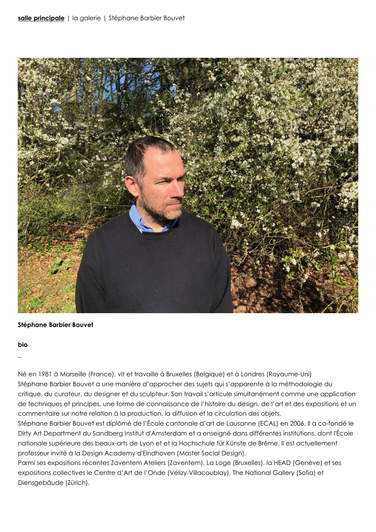

## **Stéphane Barbier Bouvet**

### **bio**

\_

Né en 1981 à Marseille (France), vit et travaille à Bruxelles (Belgique) et à Londres (Royaume-Uni) Stéphane Barbier Bouvet a une manière d'approcher des sujets qui s'apparente à la méthodologie du critique, du curateur, du designer et du sculpteur. Son travail s'articule simultanément comme une application de techniques et principes, une forme de connaissance de l'histoire du design, de l'art et des expositions et un commentaire sur notre relation à la production, la diffusion et la circulation des objets.

Stéphane Barbier Bouvet est diplômé de l'École cantonale d'art de Lausanne (ECAL) en 2006. Il a co-fondé le Dirty Art Department du Sandberg Institut d'Amsterdam et a enseigné dans différentes institutions, dont l'École nationale supérieure des beaux-arts de Lyon et et la Hochschule für Künste de Brême. Il est actuellement professeur invité à la Design Academy d'Eindhoven (Master Social Design).

Parmi ses expositions récentes Zaventem Ateliers (Zaventem), La Loge (Bruxelles), la HEAD (Genève) et ses expositions collectives le Centre d'Art de l'Onde (Vélizy-Villacoublay), The National Gallery (Sofia) et Diensgebäude (Zürich).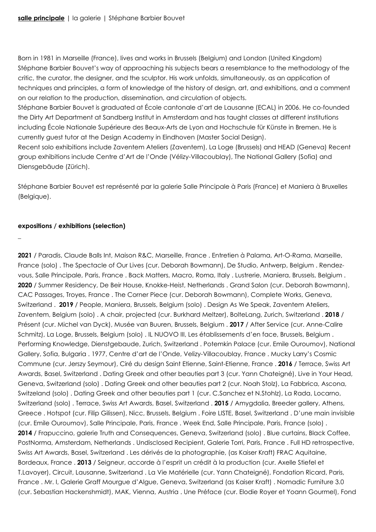Born in 1981 in Marseille (France), lives and works in Brussels (Belgium) and London (United Kingdom) Stéphane Barbier Bouvet's way of approaching his subjects bears a resemblance to the methodology of the critic, the curator, the designer, and the sculptor. His work unfolds, simultaneously, as an application of techniques and principles, a form of knowledge of the history of design, art, and exhibitions, and a comment on our relation to the production, dissemination, and circulation of objects.

Stéphane Barbier Bouvet is graduated at École cantonale d'art de Lausanne (ECAL) in 2006. He co-founded the Dirty Art Department at Sandberg Institut in Amsterdam and has taught classes at different institutions including École Nationale Supérieure des Beaux-Arts de Lyon and Hochschule für Künste in Bremen. He is currently guest tutor at the Design Academy in Eindhoven (Master Social Design).

Recent solo exhibitions include Zaventem Ateliers (Zaventem), La Loge (Brussels) and HEAD (Geneva) Recent group exhibitions include Centre d'Art de l'Onde (Vélizy-Villacoublay), The National Gallery (Sofia) and Diensgebäude (Zürich).

Stéphane Barbier Bouvet est représenté par la galerie Salle Principale à Paris (France) et Maniera à Bruxelles (Belgique).

# **expositions / exhibitions (selection)**

\_

**2021** / Paradis, Claude Balls Int, Maison R&C, Marseille, France . Entretien à Palama, Art-O-Rama, Marseille, France (solo) . The Spectacle of Our Lives (cur. Deborah Bowmann), De Studio, Antwerp, Belgium . Rendezvous, Salle Principale, Paris, France . Back Matters, Macro, Roma, Italy . Lustrerie, Maniera, Brussels, Belgium . **2020** / Summer Residency, De Beir House, Knokke-Heist, Netherlands . Grand Salon (cur. Deborah Bowmann), CAC Passages, Troyes, France . The Corner Piece (cur. Deborah Bowmann), Complete Works, Geneva, Switzerland . **2019** / People, Maniera, Brussels, Belgium (solo) . Design As We Speak, Zaventem Ateliers, Zaventem, Belgium (solo) . A chair, projected (cur. Burkhard Meltzer), BolteLang, Zurich, Switzerland . **2018** / Présent (cur. Michel van Dyck), Musée van Buuren, Brussels, Belgium . **2017** / After Service (cur. Anne-Calire Schmitz), La Loge, Brussels, Belgium (solo) . IL NUOVO III, Les établissements d'en face, Brussels, Belgium . Performing Knowledge, Dienstgebaude, Zurich, Switzerland . Potemkin Palace (cur. Emile Ouroumov), National Gallery, Sofia, Bulgaria . 1977, Centre d'art de l'Onde, Velizy-Villacoublay, France . Mucky Larry's Cosmic Commune (cur. Jerszy Seymour), Ciré du design Saint Etienne, Saint-Etienne, France . **2016** / Terrace, Swiss Art Awards, Basel, Switzerland . Dating Greek and other beauties part 3 (cur. Yann Chateigné), Live in Your Head, Geneva, Switzerland (solo) . Dating Greek and other beauties part 2 (cur. Noah Stolz), La Fabbrica, Ascona, Switzeland (solo) . Dating Greek and other beauties part 1 (cur. C.Sanchez et N.Stohlz), La Rada, Locarno, Switzerland (solo) . Terrace, Swiss Art Awards, Basel, Switzerland . **2015** / Amygdalia, Breeder gallery, Athens, Greece . Hotspot (cur. Filip Gilissen), Nicc, Brussels, Belgium . Foire LISTE, Basel, Switzerland . D'une main invisible (cur. Emile Ouroumov), Salle Principale, Paris, France . Week End, Salle Principale, Paris, France (solo) . **2014** / Frapuccino, galerie Truth and Consequences, Geneva, Switzerland (solo) . Blue curtains, Black Coffee, PostNorma, Amsterdam, Netherlands . Undisclosed Recipient, Galerie Torri, Paris, France . Full HD retrospective, Swiss Art Awards, Basel, Switzerland . Les dérivés de la photographie, (as Kaiser Kraft) FRAC Aquitaine, Bordeaux, France . **2013** / Seigneur, accorde à l'esprit un crédit à la production (cur. Axelle Stiefel et T.Lavoyer), Circuit, Lausanne, Switzerland . La Vie Matérielle (cur. Yann Chateigné), Fondation Ricard, Paris, France . Mr. I, Galerie Graff Mourgue d'Algue, Geneva, Switzerland (as Kaiser Kraft) . Nomadic Furniture 3.0 (cur. Sebastian Hackenshmidt), MAK, Vienna, Austria . Une Préface (cur. Elodie Royer et Yoann Gourmel), Fond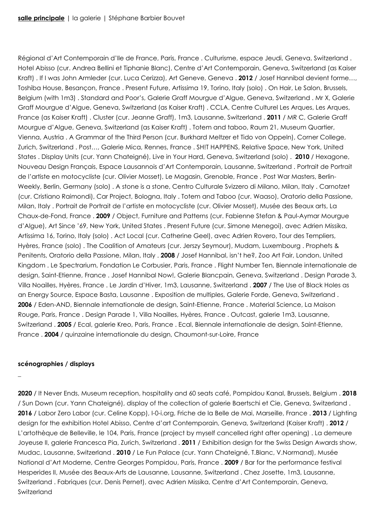Régional d'Art Contemporain d'Ile de France, Paris, France . Culturisme, espace Jeudi, Geneva, Switzerland . Hotel Abisso (cur. Andrea Bellini et Tiphanie Blanc), Centre d'Art Contemporain, Geneva, Switzerland (as Kaiser Kraft) . If I was John Armleder (cur. Luca Cerizza), Art Geneve, Geneva . **2012** / Josef Hannibal devient forme…, Toshiba House, Besançon, France . Present Future, Artissima 19, Torino, Italy (solo) . On Hair, Le Salon, Brussels, Belgium (with 1m3) . Standard and Poor's, Galerie Graff Mourgue d'Algue, Geneva, Switzerland . Mr X, Galerie Graff Mourgue d'Algue, Geneva, Switzerland (as Kaiser Kraft) . CCLA, Centre Culturel Les Arques, Les Arques, France (as Kaiser Kraft) . Cluster (cur. Jeanne Graff), 1m3, Lausanne, Switzerland . **2011** / MR C, Galerie Graff Mourgue d'Algue, Geneva, Switzerland (as Kaiser Kraft) . Totem and taboo, Raum 21, Museum Quartier, Vienna, Austria . A Grammar of the Third Person (cur. Burkhard Meltzer et Tido von Oppeln), Corner College, Zurich, Switzerland . Post…, Galerie Mica, Rennes, France . SH!T HAPPENS, Relative Space, New York, United States . Display Units (cur. Yann Chateigné), Live in Your Hard, Geneva, Switzerland (solo) . **2010** / Hexagone, Nouveau Design Français, Espace Lausannois d'Art Contemporain, Lausanne, Switzerland . Portrait de Portrait de l'artiste en motocycliste (cur. Olivier Mosset), Le Magasin, Grenoble, France . Post War Masters, Berlin-Weekly, Berlin, Germany (solo) . A stone is a stone, Centro Culturale Svizzero di Milano, Milan, Italy . Carnotzet (cur. Cristiano Raimondi), Car Project, Bologna, Italy . Totem and Taboo (cur. Waaso), Oratorio della Passione, Milan, Italy . Portrait de Portrait de l'artiste en motocycliste (cur. Olivier Mosset), Musée des Beaux arts, La Chaux-de-Fond, France . **2009** / Object, Furniture and Patterns (cur. Fabienne Stefan & Paul-Aymar Mourgue d'Algue), Art Since '69, New York, United States . Present Future (cur. Simone Menegoi), avec Adrien Missika, Artissima 16, Torino, Italy (solo) . Act Local (cur. Catherine Geel), avec Adrien Rovero, Tour des Templiers, Hyères, France (solo) . The Coalition of Amateurs (cur. Jerszy Seymour), Mudam, Luxembourg . Prophets & Penitents, Oratorio della Passione, Milan, Italy . **2008** / Josef Hannibal, isn't he?, Zoo Art Fair, London, United Kingdom . Le Spectrarium, Fondation Le Corbusier, Paris, France . Flight Number Ten, Biennale internationale de design, Saint-Etienne, France . Josef Hannibal Now!, Galerie Blancpain, Geneva, Switzerland . Design Parade 3, Villa Noailles, Hyères, France . Le Jardin d'Hiver, 1m3, Lausanne, Switzerland . **2007** / The Use of Black Holes as an Energy Source, Espace Basta, Lausanne . Exposition de multiples, Galerie Forde, Geneva, Switzerland . **2006** / Eden-AND, Biennale internationale de design, Saint-Etienne, France . Material Science, La Maison Rouge, Paris, France . Design Parade 1, Villa Noailles, Hyères, France . Outcast, galerie 1m3, Lausanne, Switzerland . **2005** / Ecal, galerie Kreo, Paris, France . Ecal, Biennale internationale de design, Saint-Etienne, France . **2004** / quinzaine internationale du design, Chaumont-sur-Loire, France

## **scénographies / displays**

\_

**2020** / It Never Ends, Museum reception, hospitality and 60 seats café, Pompidou Kanal, Brussels, Belgium . **2018** / Sun Down (cur. Yann Chateigné), display of the collection of galerie Baertschi et Cie, Geneva, Switzerland . **2016** / Labor Zero Labor (cur. Celine Kopp), I-0-i.org, Friche de la Belle de Mai, Marseille, France . **2013** / Lighting design for the exhibition Hotel Abisso, Centre d'art Contemporain, Geneva, Switzerland (Kaiser Kraft) . **2012** / L'artothèque de Belleville, le 104, Paris, France (project by myself cancelled right after opening) . La demeure Joyeuse II, galerie Francesca Pia, Zurich, Switzerland . **2011** / Exhibition design for the Swiss Design Awards show, Mudac, Lausanne, Switzerland . **2010** / Le Fun Palace (cur. Yann Chateigné, T.Blanc, V.Normand), Musée National d'Art Moderne, Centre Georges Pompidou, Paris, France . **2009** / Bar for the performance festival Hesperides II, Musée des Beaux-Arts de Lausanne, Lausanne, Switzerland . Chez Josette, 1m3, Lausanne, Switzerland . Fabriques (cur. Denis Pernet), avec Adrien Missika, Centre d'Art Contemporain, Geneva, Switzerland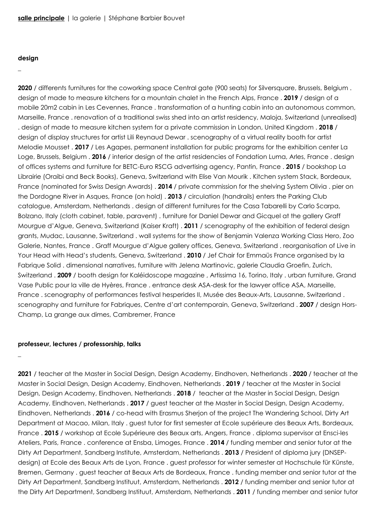#### **design**

# \_

**2020** / differents furnitures for the coworking space Central gate (900 seats) for Silversquare, Brussels, Belgium . design of made to measure kitchens for a mountain chalet in the French Alps, France . **2019** / design of a mobile 20m2 cabin in Les Cevennes, France . transformation of a hunting cabin into an autonomous common, Marseille, France . renovation of a traditional swiss shed into an artist residency, Maloja, Switzerland (unrealised) . design of made to measure kitchen system for a private commission in London, United Kingdom . **2018** / design of display structures for artist Lili Reynaud Dewar . scenography of a virtual reality booth for artist Melodie Mousset . **2017** / Les Agapes, permanent installation for public programs for the exhibition center La Loge, Brussels, Belgium . **2016** / interior design of the artist residencies of Fondation Luma, Arles, France . design of offices systems and furniture for BETC-Euro RSCG advertising agency, Pantin, France . **2015** / bookshop La Librairie (Oraibi and Beck Books), Geneva, Switzerland with Elise Van Mourik . Kitchen system Stack, Bordeaux, France (nominated for Swiss Design Awards) . **2014** / private commission for the shelving System Olivia . pier on the Dordogne River in Asques, France (on hold) . **2013** / circulation (handrails) enters the Parking Club catalogue, Amsterdam, Netherlands . design of different furnitures for the Casa Tabarelli by Carlo Scarpa, Bolzano, Italy (cloth cabinet, table, paravent) . furniture for Daniel Dewar and Gicquel at the gallery Graff Mourgue d'Algue, Geneva, Switzerland (Kaiser Kraft) . **2011** / scenography of the exhibition of federal design grants, Mudac, Lausanne, Switzerland . wall systems for the show of Benjamin Valenza Working Class Hero, Zoo Galerie, Nantes, France . Graff Mourgue d'Algue gallery offices, Geneva, Switzerland . reorganisation of Live in Your Head with Head's students, Geneva, Switzerland . **2010** / Jef Chair for Emmaüs France organised by la Fabrique Solid . dimensional narratives, furniture with Jelena Martinovic, galerie Claudia Groefin, Zurich, Switzerland . **2009** / booth design for Kaléidoscope magazine , Artissima 16, Torino, Italy . urban furniture, Grand Vase Public pour la ville de Hyères, France . entrance desk ASA-desk for the lawyer office ASA, Marseille, France . scenography of performances festival hesperides II, Musée des Beaux-Arts, Lausanne, Switzerland . scenography and furniture for Fabriques, Centre d'art contemporain, Geneva, Switzerland . **2007** / design Hors-Champ, La grange aux dimes, Cambremer, France

#### **professeur, lectures / professorship, talks**

\_

**2021** / teacher at the Master in Social Design, Design Academy, Eindhoven, Netherlands . **2020** / teacher at the Master in Social Design, Design Academy, Eindhoven, Netherlands . **2019** / teacher at the Master in Social Design, Design Academy, Eindhoven, Netherlands . **2018** / teacher at the Master in Social Design, Design Academy, Eindhoven, Netherlands . **2017** / guest teacher at the Master in Social Design, Design Academy, Eindhoven, Netherlands . **2016** / co-head with Erasmus Sherjon of the project The Wandering School, Dirty Art Department at Macao, Milan, Italy . guest tutor for first semester at Ecole supérieure des Beaux Arts, Bordeaux, France . **2015** / workshop at Ecole Supérieure des Beaux arts, Angers, France . diploma supervisor at Ensci-les Ateliers, Paris, France . conference at Ensba, Limoges, France . **2014** / funding member and senior tutor at the Dirty Art Department, Sandberg Institute, Amsterdam, Netherlands . **2013** / President of diploma jury (DNSEPdesign) at Ecole des Beaux Arts de Lyon, France . guest professor for winter semester at Hochschule für Künste, Bremen, Germany . guest teacher at Beaux Arts de Bordeaux, France . funding member and senior tutor at the Dirty Art Department, Sandberg Instituut, Amsterdam, Netherlands . **2012** / funding member and senior tutor at the Dirty Art Department, Sandberg Instituut, Amsterdam, Netherlands . **2011** / funding member and senior tutor